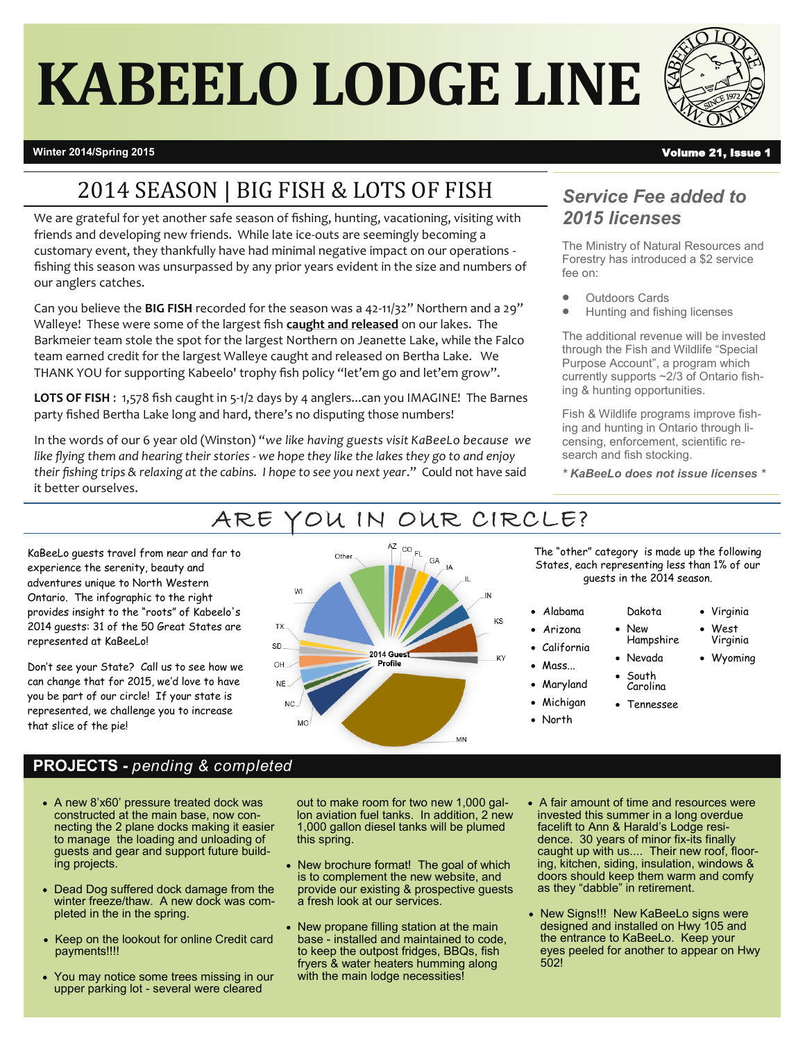# **KABEELO LODGE LINE**



## **Winter 2014/Spring 2015** Volume 21, Issue 1

# 2014 SEASON | BIG FISH & LOTS OF FISH

We are grateful for yet another safe season of fishing, hunting, vacationing, visiting with friends and developing new friends. While late ice-outs are seemingly becoming a customary event, they thankfully have had minimal negative impact on our operations fishing this season was unsurpassed by any prior years evident in the size and numbers of our anglers catches.

Can you believe the **BIG FISH** recorded for the season was a 42-11/32" Northern and a 29" Walleye! These were some of the largest fish **caught and released** on our lakes. The Barkmeier team stole the spot for the largest Northern on Jeanette Lake, while the Falco team earned credit for the largest Walleye caught and released on Bertha Lake. We THANK YOU for supporting Kabeelo' trophy fish policy "let'em go and let'em grow".

**LOTS OF FISH** : 1,578 fish caught in 5-1/2 days by 4 anglers...can you IMAGINE! The Barnes party fished Bertha Lake long and hard, there's no disputing those numbers!

In the words of our 6 year old (Winston) "*we like having guests visit KaBeeLo because we like flying them and hearing their stories - we hope they like the lakes they go to and enjoy their fishing trips & relaxing at the cabins. I hope to see you next year*." Could not have said it better ourselves.

> OH **NE**  $NC$ **MO**

## *Service Fee added to 2015 licenses*

The Ministry of Natural Resources and Forestry has introduced a \$2 service fee on:

- Outdoors Cards
- Hunting and fishing licenses

The additional revenue will be invested through the Fish and Wildlife "Special Purpose Account", a program which currently supports ~2/3 of Ontario fishing & hunting opportunities.

Fish & Wildlife programs improve fishing and hunting in Ontario through licensing, enforcement, scientific research and fish stocking.

*\* KaBeeLo does not issue licenses \**



Profile

# ARE YOU IN OUR CIRCLE?

KaBeeLo guests travel from near and far to experience the serenity, beauty and adventures unique to North Western Ontario. The infographic to the right provides insight to the "roots" of Kabeelo's 2014 guests: 31 of the 50 Great States are represented at KaBeeLo!

Don't see your State? Call us to see how we can change that for 2015, we'd love to have you be part of our circle! If your state is represented, we challenge you to increase that slice of the pie!



The "other" category is made up the following States, each representing less than 1% of our guests in the 2014 season.

> Dakota New Hampshire

- Alabama
- Arizona
- California
- Mass...
- Maryland
- Michigan North
	-
- Nevada **South** Wyoming

 Virginia West Virginia

- Carolina Tennessee
- 
- 

## **PROJECTS -** *pending & completed*

- A new 8'x60' pressure treated dock was constructed at the main base, now connecting the 2 plane docks making it easier to manage the loading and unloading of guests and gear and support future building projects.
- Dead Dog suffered dock damage from the winter freeze/thaw. A new dock was completed in the in the spring.
- Keep on the lookout for online Credit card payments!!!!
- You may notice some trees missing in our upper parking lot - several were cleared

out to make room for two new 1,000 gallon aviation fuel tanks. In addition, 2 new 1,000 gallon diesel tanks will be plumed this spring.

- New brochure format! The goal of which is to complement the new website, and provide our existing & prospective guests a fresh look at our services.
- New propane filling station at the main base - installed and maintained to code, to keep the outpost fridges, BBQs, fish fryers & water heaters humming along with the main lodge necessities!
- A fair amount of time and resources were invested this summer in a long overdue facelift to Ann & Harald's Lodge residence. 30 years of minor fix-its finally caught up with us.... Their new roof, flooring, kitchen, siding, insulation, windows & doors should keep them warm and comfy as they "dabble" in retirement.
- New Signs!!! New KaBeeLo signs were designed and installed on Hwy 105 and the entrance to KaBeeLo. Keep your eyes peeled for another to appear on Hwy 502!